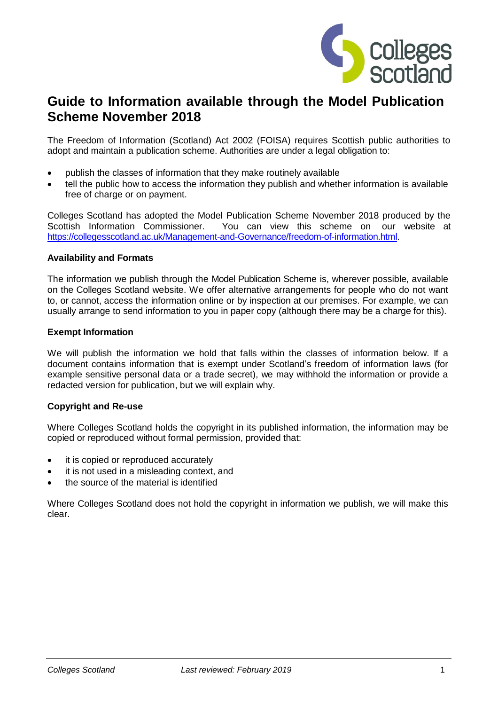

# **Guide to Information available through the Model Publication Scheme November 2018**

The Freedom of Information (Scotland) Act 2002 (FOISA) requires Scottish public authorities to adopt and maintain a publication scheme. Authorities are under a legal obligation to:

- publish the classes of information that they make routinely available
- tell the public how to access the information they publish and whether information is available free of charge or on payment.

Colleges Scotland has adopted the Model Publication Scheme November 2018 produced by the Scottish Information Commissioner. You can view this scheme on our website at [https://collegesscotland.ac.uk/Management-and-Governance/freedom-of-information.html.](https://collegesscotland.ac.uk/Management-and-Governance/freedom-of-information.html)

#### **Availability and Formats**

The information we publish through the Model Publication Scheme is, wherever possible, available on the Colleges Scotland website. We offer alternative arrangements for people who do not want to, or cannot, access the information online or by inspection at our premises. For example, we can usually arrange to send information to you in paper copy (although there may be a charge for this).

#### **Exempt Information**

We will publish the information we hold that falls within the classes of information below. If a document contains information that is exempt under Scotland's freedom of information laws (for example sensitive personal data or a trade secret), we may withhold the information or provide a redacted version for publication, but we will explain why.

### **Copyright and Re-use**

Where Colleges Scotland holds the copyright in its published information, the information may be copied or reproduced without formal permission, provided that:

- it is copied or reproduced accurately
- it is not used in a misleading context, and
- the source of the material is identified

Where Colleges Scotland does not hold the copyright in information we publish, we will make this clear.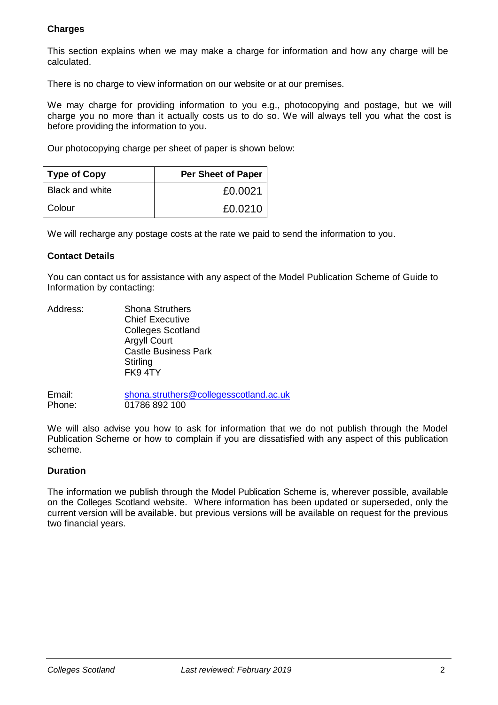### **Charges**

This section explains when we may make a charge for information and how any charge will be calculated.

There is no charge to view information on our website or at our premises.

We may charge for providing information to you e.g., photocopying and postage, but we will charge you no more than it actually costs us to do so. We will always tell you what the cost is before providing the information to you.

Our photocopying charge per sheet of paper is shown below:

| <b>Type of Copy</b>    | Per Sheet of Paper |
|------------------------|--------------------|
| <b>Black and white</b> | £0.0021            |
| Colour                 | £0.0210            |

We will recharge any postage costs at the rate we paid to send the information to you.

### **Contact Details**

You can contact us for assistance with any aspect of the Model Publication Scheme of Guide to Information by contacting:

Address: Shona Struthers Chief Executive Colleges Scotland Argyll Court Castle Business Park **Stirling** FK9 4TY

Email: [shona.struthers@collegesscotland.ac.uk](mailto:shona.struthers@collegesscotland.ac.uk)<br>Phone: 01786 892 100 01786 892 100

We will also advise you how to ask for information that we do not publish through the Model Publication Scheme or how to complain if you are dissatisfied with any aspect of this publication scheme.

### **Duration**

The information we publish through the Model Publication Scheme is, wherever possible, available on the Colleges Scotland website. Where information has been updated or superseded, only the current version will be available. but previous versions will be available on request for the previous two financial years.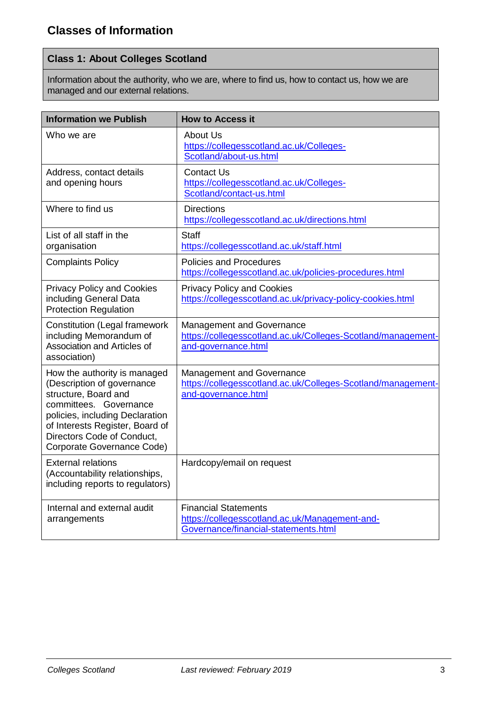# **Class 1: About Colleges Scotland**

Information about the authority, who we are, where to find us, how to contact us, how we are managed and our external relations.

| <b>Information we Publish</b>                                                                                                                                                                                                                  | <b>How to Access it</b>                                                                                                 |
|------------------------------------------------------------------------------------------------------------------------------------------------------------------------------------------------------------------------------------------------|-------------------------------------------------------------------------------------------------------------------------|
| Who we are                                                                                                                                                                                                                                     | <b>About Us</b><br>https://collegesscotland.ac.uk/Colleges-<br>Scotland/about-us.html                                   |
| Address, contact details<br>and opening hours                                                                                                                                                                                                  | <b>Contact Us</b><br>https://collegesscotland.ac.uk/Colleges-<br>Scotland/contact-us.html                               |
| Where to find us                                                                                                                                                                                                                               | <b>Directions</b><br>https://collegesscotland.ac.uk/directions.html                                                     |
| List of all staff in the<br>organisation                                                                                                                                                                                                       | Staff<br>https://collegesscotland.ac.uk/staff.html                                                                      |
| <b>Complaints Policy</b>                                                                                                                                                                                                                       | <b>Policies and Procedures</b><br>https://collegesscotland.ac.uk/policies-procedures.html                               |
| <b>Privacy Policy and Cookies</b><br>including General Data<br><b>Protection Regulation</b>                                                                                                                                                    | <b>Privacy Policy and Cookies</b><br>https://collegesscotland.ac.uk/privacy-policy-cookies.html                         |
| <b>Constitution (Legal framework</b><br>including Memorandum of<br>Association and Articles of<br>association)                                                                                                                                 | <b>Management and Governance</b><br>https://collegesscotland.ac.uk/Colleges-Scotland/management-<br>and-governance.html |
| How the authority is managed<br>(Description of governance<br>structure, Board and<br>committees. Governance<br>policies, including Declaration<br>of Interests Register, Board of<br>Directors Code of Conduct,<br>Corporate Governance Code) | <b>Management and Governance</b><br>https://collegesscotland.ac.uk/Colleges-Scotland/management-<br>and-governance.html |
| <b>External relations</b><br>(Accountability relationships,<br>including reports to regulators)                                                                                                                                                | Hardcopy/email on request                                                                                               |
| Internal and external audit<br>arrangements                                                                                                                                                                                                    | <b>Financial Statements</b><br>https://collegesscotland.ac.uk/Management-and-<br>Governance/financial-statements.html   |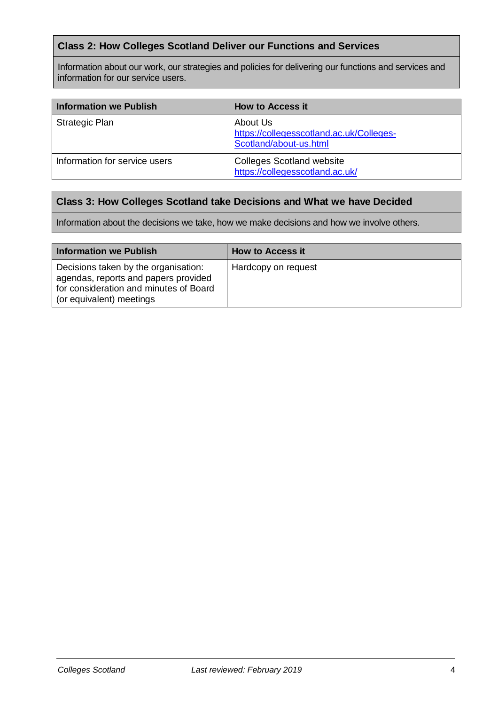## **Class 2: How Colleges Scotland Deliver our Functions and Services**

Information about our work, our strategies and policies for delivering our functions and services and information for our service users.

| Information we Publish        | <b>How to Access it</b>                                                        |
|-------------------------------|--------------------------------------------------------------------------------|
| <b>Strategic Plan</b>         | About Us<br>https://collegesscotland.ac.uk/Colleges-<br>Scotland/about-us.html |
| Information for service users | <b>Colleges Scotland website</b><br>https://collegesscotland.ac.uk/            |

### **Class 3: How Colleges Scotland take Decisions and What we have Decided**

Information about the decisions we take, how we make decisions and how we involve others.

| Information we Publish                                                                                                                             | <b>How to Access it</b> |
|----------------------------------------------------------------------------------------------------------------------------------------------------|-------------------------|
| Decisions taken by the organisation:<br>agendas, reports and papers provided<br>for consideration and minutes of Board<br>(or equivalent) meetings | Hardcopy on request     |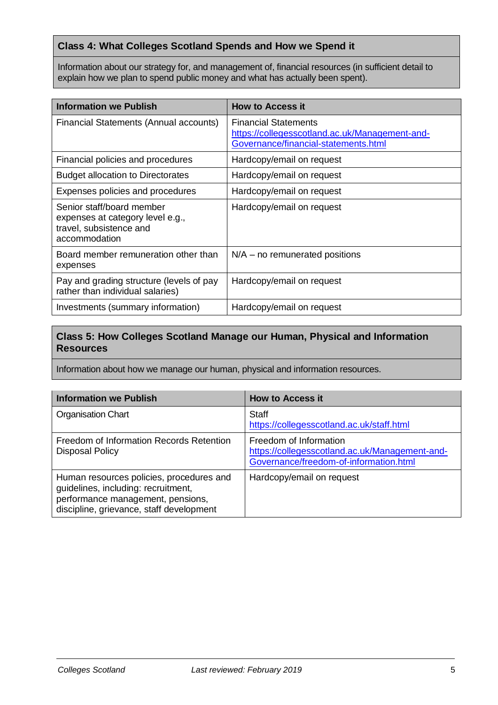## **Class 4: What Colleges Scotland Spends and How we Spend it**

Information about our strategy for, and management of, financial resources (in sufficient detail to explain how we plan to spend public money and what has actually been spent).

| <b>Information we Publish</b>                                                                             | <b>How to Access it</b>                                                                                               |
|-----------------------------------------------------------------------------------------------------------|-----------------------------------------------------------------------------------------------------------------------|
| Financial Statements (Annual accounts)                                                                    | <b>Financial Statements</b><br>https://collegesscotland.ac.uk/Management-and-<br>Governance/financial-statements.html |
| Financial policies and procedures                                                                         | Hardcopy/email on request                                                                                             |
| <b>Budget allocation to Directorates</b>                                                                  | Hardcopy/email on request                                                                                             |
| Expenses policies and procedures                                                                          | Hardcopy/email on request                                                                                             |
| Senior staff/board member<br>expenses at category level e.g.,<br>travel, subsistence and<br>accommodation | Hardcopy/email on request                                                                                             |
| Board member remuneration other than<br>expenses                                                          | $N/A$ – no remunerated positions                                                                                      |
| Pay and grading structure (levels of pay<br>rather than individual salaries)                              | Hardcopy/email on request                                                                                             |
| Investments (summary information)                                                                         | Hardcopy/email on request                                                                                             |

# **Class 5: How Colleges Scotland Manage our Human, Physical and Information Resources**

Information about how we manage our human, physical and information resources.

| <b>Information we Publish</b>                                                                                                                                    | <b>How to Access it</b>                                                                                            |
|------------------------------------------------------------------------------------------------------------------------------------------------------------------|--------------------------------------------------------------------------------------------------------------------|
| <b>Organisation Chart</b>                                                                                                                                        | <b>Staff</b><br>https://collegesscotland.ac.uk/staff.html                                                          |
| Freedom of Information Records Retention<br><b>Disposal Policy</b>                                                                                               | Freedom of Information<br>https://collegesscotland.ac.uk/Management-and-<br>Governance/freedom-of-information.html |
| Human resources policies, procedures and<br>guidelines, including: recruitment,<br>performance management, pensions,<br>discipline, grievance, staff development | Hardcopy/email on request                                                                                          |